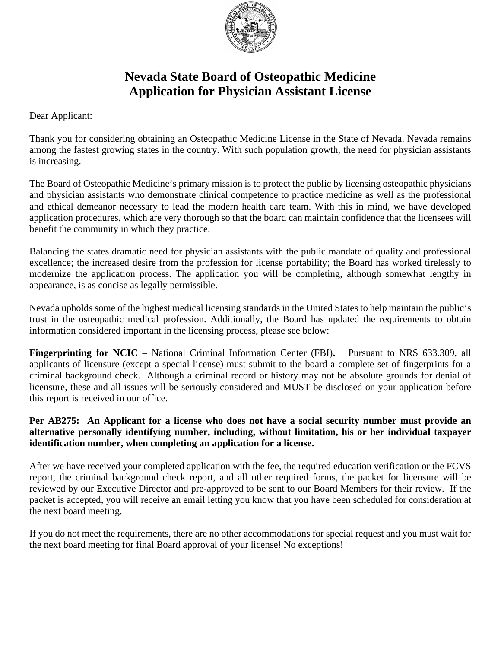

# **Nevada State Board of Osteopathic Medicine Application for Physician Assistant License**

Dear Applicant:

Thank you for considering obtaining an Osteopathic Medicine License in the State of Nevada. Nevada remains among the fastest growing states in the country. With such population growth, the need for physician assistants is increasing.

The Board of Osteopathic Medicine's primary mission is to protect the public by licensing osteopathic physicians and physician assistants who demonstrate clinical competence to practice medicine as well as the professional and ethical demeanor necessary to lead the modern health care team. With this in mind, we have developed application procedures, which are very thorough so that the board can maintain confidence that the licensees will benefit the community in which they practice.

Balancing the states dramatic need for physician assistants with the public mandate of quality and professional excellence; the increased desire from the profession for license portability; the Board has worked tirelessly to modernize the application process. The application you will be completing, although somewhat lengthy in appearance, is as concise as legally permissible.

Nevada upholds some of the highest medical licensing standards in the United States to help maintain the public's trust in the osteopathic medical profession. Additionally, the Board has updated the requirements to obtain information considered important in the licensing process, please see below:

**Fingerprinting for NCIC** – National Criminal Information Center (FBI)**.** Pursuant to NRS 633.309, all applicants of licensure (except a special license) must submit to the board a complete set of fingerprints for a criminal background check. Although a criminal record or history may not be absolute grounds for denial of licensure, these and all issues will be seriously considered and MUST be disclosed on your application before this report is received in our office.

# **Per AB275: An Applicant for a license who does not have a social security number must provide an alternative personally identifying number, including, without limitation, his or her individual taxpayer identification number, when completing an application for a license.**

After we have received your completed application with the fee, the required education verification or the FCVS report, the criminal background check report, and all other required forms, the packet for licensure will be reviewed by our Executive Director and pre-approved to be sent to our Board Members for their review. If the packet is accepted, you will receive an email letting you know that you have been scheduled for consideration at the next board meeting.

If you do not meet the requirements, there are no other accommodations for special request and you must wait for the next board meeting for final Board approval of your license! No exceptions!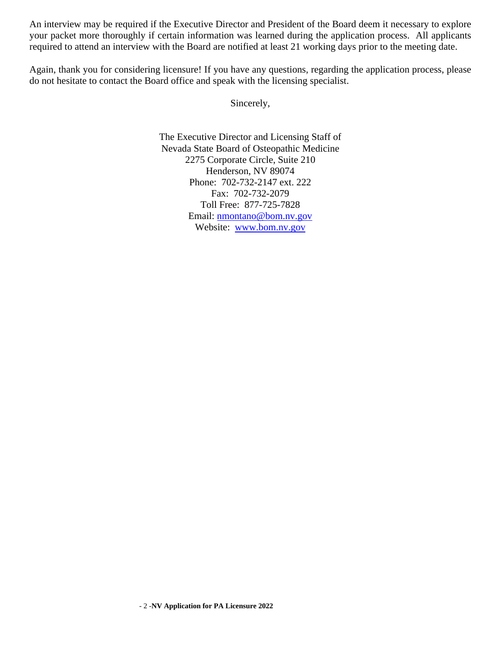An interview may be required if the Executive Director and President of the Board deem it necessary to explore your packet more thoroughly if certain information was learned during the application process. All applicants required to attend an interview with the Board are notified at least 21 working days prior to the meeting date.

Again, thank you for considering licensure! If you have any questions, regarding the application process, please do not hesitate to contact the Board office and speak with the licensing specialist.

Sincerely,

The Executive Director and Licensing Staff of Nevada State Board of Osteopathic Medicine 2275 Corporate Circle, Suite 210 Henderson, NV 89074 Phone: 702-732-2147 ext. 222 Fax: 702-732-2079 Toll Free: 877-725-7828 Email: [nmontano@bom.nv.gov](mailto:nmontano@bom.nv.gov) Website: [www.bom.nv.gov](http://www.bom.nv.gov/)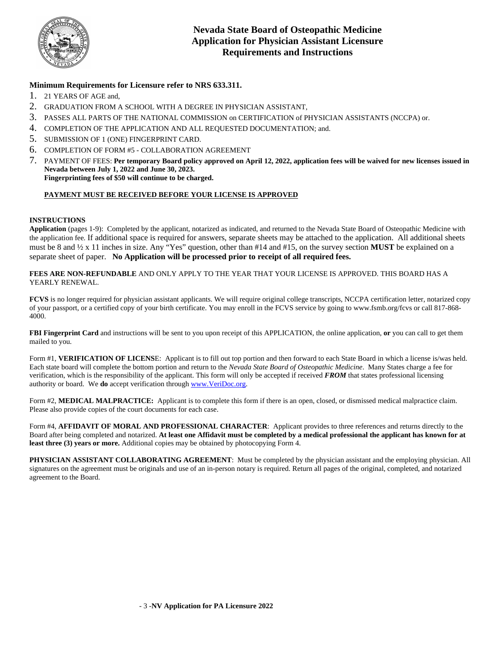

### **Minimum Requirements for Licensure refer to NRS 633.311.**

- 1. 21 YEARS OF AGE and,
- 2. GRADUATION FROM A SCHOOL WITH A DEGREE IN PHYSICIAN ASSISTANT,
- 3. PASSES ALL PARTS OF THE NATIONAL COMMISSION on CERTIFICATION of PHYSICIAN ASSISTANTS (NCCPA) or.
- 4. COMPLETION OF THE APPLICATION AND ALL REQUESTED DOCUMENTATION; and.
- 5. SUBMISSION OF 1 (ONE) FINGERPRINT CARD.
- 6. COMPLETION OF FORM #5 COLLABORATION AGREEMENT
- 7. PAYMENT OF FEES: **Per temporary Board policy approved on April 12, 2022, application fees will be waived for new licenses issued in Nevada between July 1, 2022 and June 30, 2023. Fingerprinting fees of \$50 will continue to be charged.**

#### **PAYMENT MUST BE RECEIVED BEFORE YOUR LICENSE IS APPROVED**

#### **INSTRUCTIONS**

**Application** (pages 1-9): Completed by the applicant, notarized as indicated, and returned to the Nevada State Board of Osteopathic Medicine with the application fee*.* If additional space is required for answers, separate sheets may be attached to the application. All additional sheets must be 8 and ½ x 11 inches in size. Any "Yes" question, other than #14 and #15, on the survey section **MUST** be explained on a separate sheet of paper. **No Application will be processed prior to receipt of all required fees.**

**FEES ARE NON-REFUNDABLE** AND ONLY APPLY TO THE YEAR THAT YOUR LICENSE IS APPROVED. THIS BOARD HAS A YEARLY RENEWAL.

**FCVS** is no longer required for physician assistant applicants. We will require original college transcripts, NCCPA certification letter, notarized copy of your passport, or a certified copy of your birth certificate. You may enroll in the FCVS service by going to www.fsmb.org/fcvs or call 817-868- 4000.

**FBI Fingerprint Card** and instructions will be sent to you upon receipt of this APPLICATION, the online application, **or** you can call to get them mailed to you.

Form #1, **VERIFICATION OF LICENS**E: Applicant is to fill out top portion and then forward to each State Board in which a license is/was held. Each state board will complete the bottom portion and return to the *Nevada State Board of Osteopathic Medicine*. Many States charge a fee for verification, which is the responsibility of the applicant. This form will only be accepted if received *FROM* that states professional licensing authority or board. We **do** accept verification throug[h www.VeriDoc.org.](http://www.veridoc.org/) 

Form #2, **MEDICAL MALPRACTICE:** Applicant is to complete this form if there is an open, closed, or dismissed medical malpractice claim. Please also provide copies of the court documents for each case.

Form #4, AFFIDAVIT OF MORAL AND PROFESSIONAL CHARACTER: Applicant provides to three references and returns directly to the Board after being completed and notarized. **At least one Affidavit must be completed by a medical professional the applicant has known for at least three (3) years or more.** Additional copies may be obtained by photocopying Form 4.

**PHYSICIAN ASSISTANT COLLABORATING AGREEMENT:** Must be completed by the physician assistant and the employing physician. All signatures on the agreement must be originals and use of an in-person notary is required. Return all pages of the original, completed, and notarized agreement to the Board.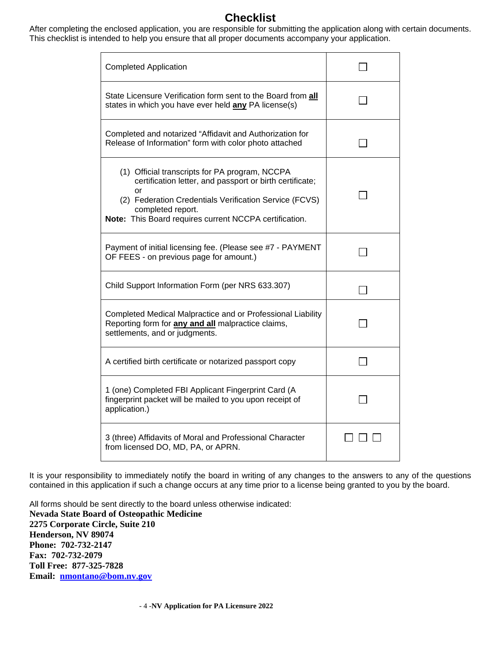# **Checklist**

After completing the enclosed application, you are responsible for submitting the application along with certain documents. This checklist is intended to help you ensure that all proper documents accompany your application.

| <b>Completed Application</b>                                                                                                                                                                                                                              |  |
|-----------------------------------------------------------------------------------------------------------------------------------------------------------------------------------------------------------------------------------------------------------|--|
| State Licensure Verification form sent to the Board from all<br>states in which you have ever held any PA license(s)                                                                                                                                      |  |
| Completed and notarized "Affidavit and Authorization for<br>Release of Information" form with color photo attached                                                                                                                                        |  |
| (1) Official transcripts for PA program, NCCPA<br>certification letter, and passport or birth certificate;<br>or<br>(2) Federation Credentials Verification Service (FCVS)<br>completed report.<br>Note: This Board requires current NCCPA certification. |  |
| Payment of initial licensing fee. (Please see #7 - PAYMENT<br>OF FEES - on previous page for amount.)                                                                                                                                                     |  |
| Child Support Information Form (per NRS 633.307)                                                                                                                                                                                                          |  |
| Completed Medical Malpractice and or Professional Liability<br>Reporting form for <b>any and all</b> malpractice claims,<br>settlements, and or judgments.                                                                                                |  |
| A certified birth certificate or notarized passport copy                                                                                                                                                                                                  |  |
| 1 (one) Completed FBI Applicant Fingerprint Card (A<br>fingerprint packet will be mailed to you upon receipt of<br>application.)                                                                                                                          |  |
| 3 (three) Affidavits of Moral and Professional Character<br>from licensed DO, MD, PA, or APRN.                                                                                                                                                            |  |

It is your responsibility to immediately notify the board in writing of any changes to the answers to any of the questions contained in this application if such a change occurs at any time prior to a license being granted to you by the board.

All forms should be sent directly to the board unless otherwise indicated: **Nevada State Board of Osteopathic Medicine 2275 Corporate Circle, Suite 210 Henderson, NV 89074 Phone: 702-732-2147 Fax: 702-732-2079 Toll Free: 877-325-7828 Email: [nmontano@bom.nv.gov](mailto:nmontano@bom.nv.gov)**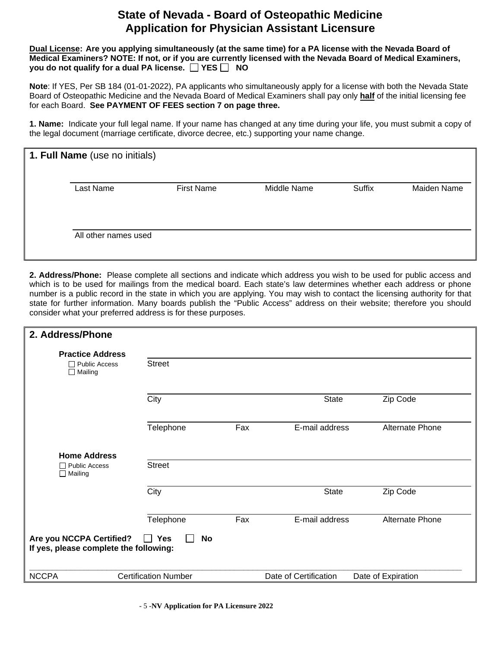# **State of Nevada - Board of Osteopathic Medicine Application for Physician Assistant Licensure**

**Dual License: Are you applying simultaneously (at the same time) for a PA license with the Nevada Board of Medical Examiners? NOTE: If not, or if you are currently licensed with the Nevada Board of Medical Examiners, you do not qualify for a dual PA license. YES NO**

**Note**: If YES, Per SB 184 (01-01-2022), PA applicants who simultaneously apply for a license with both the Nevada State Board of Osteopathic Medicine and the Nevada Board of Medical Examiners shall pay only **half** of the initial licensing fee for each Board. **See PAYMENT OF FEES section 7 on page three.**

**1. Name:** Indicate your full legal name. If your name has changed at any time during your life, you must submit a copy of the legal document (marriage certificate, divorce decree, etc.) supporting your name change.

| 1. Full Name (use no initials) |                      |                   |             |        |                    |
|--------------------------------|----------------------|-------------------|-------------|--------|--------------------|
| Last Name                      |                      | <b>First Name</b> | Middle Name | Suffix | <b>Maiden Name</b> |
|                                | All other names used |                   |             |        |                    |

**2. Address/Phone:** Please complete all sections and indicate which address you wish to be used for public access and which is to be used for mailings from the medical board. Each state's law determines whether each address or phone number is a public record in the state in which you are applying. You may wish to contact the licensing authority for that state for further information. Many boards publish the "Public Access" address on their website; therefore you should consider what your preferred address is for these purposes.

| 2. Address/Phone                                                   |                             |     |                       |                        |
|--------------------------------------------------------------------|-----------------------------|-----|-----------------------|------------------------|
| <b>Practice Address</b>                                            |                             |     |                       |                        |
| <b>Public Access</b><br>$\Box$ Mailing                             | <b>Street</b>               |     |                       |                        |
|                                                                    | City                        |     | <b>State</b>          | Zip Code               |
|                                                                    | Telephone                   | Fax | E-mail address        | <b>Alternate Phone</b> |
| <b>Home Address</b>                                                |                             |     |                       |                        |
| $\Box$ Public Access<br>$\Box$ Mailing                             | <b>Street</b>               |     |                       |                        |
|                                                                    | City                        |     | <b>State</b>          | Zip Code               |
|                                                                    | Telephone                   | Fax | E-mail address        | <b>Alternate Phone</b> |
| Are you NCCPA Certified?<br>If yes, please complete the following: | <b>No</b><br>Yes            |     |                       |                        |
| <b>NCCPA</b>                                                       | <b>Certification Number</b> |     | Date of Certification | Date of Expiration     |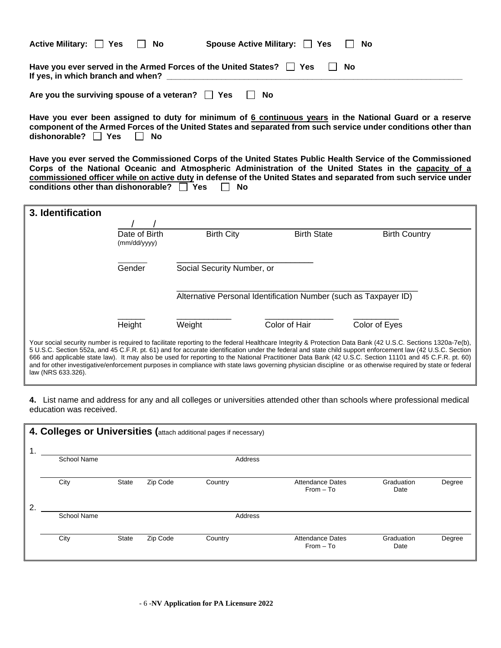| Active Military: $\Box$ Yes                                                                                              | HINO | Spouse Active Military: $\Box$ Yes |  | ∣ I No |  |
|--------------------------------------------------------------------------------------------------------------------------|------|------------------------------------|--|--------|--|
| Have you ever served in the Armed Forces of the United States? $\Box$ Yes<br>∣ I No<br>If yes, in which branch and when? |      |                                    |  |        |  |
| Are you the surviving spouse of a veteran? $\Box$ Yes                                                                    |      | No                                 |  |        |  |

**Have you ever been assigned to duty for minimum of 6 continuous years in the National Guard or a reserve component of the Armed Forces of the United States and separated from such service under conditions other than**  dishonorable? □ Yes □ No

**Have you ever served the Commissioned Corps of the United States Public Health Service of the Commissioned Corps of the National Oceanic and Atmospheric Administration of the United States in the capacity of a commissioned officer while on active duty in defense of the United States and separated from such service under**  conditions other than dishonorable?  $\Box$  Yes

| 3. Identification  |                               |                                                                  |                    |                                                                                                                                                                                                                                                                                                                                                                                                                                                                                                                                                                                                                                                  |  |
|--------------------|-------------------------------|------------------------------------------------------------------|--------------------|--------------------------------------------------------------------------------------------------------------------------------------------------------------------------------------------------------------------------------------------------------------------------------------------------------------------------------------------------------------------------------------------------------------------------------------------------------------------------------------------------------------------------------------------------------------------------------------------------------------------------------------------------|--|
|                    | Date of Birth<br>(mm/dd/yyyy) | <b>Birth City</b>                                                | <b>Birth State</b> | <b>Birth Country</b>                                                                                                                                                                                                                                                                                                                                                                                                                                                                                                                                                                                                                             |  |
|                    | Gender                        | Social Security Number, or                                       |                    |                                                                                                                                                                                                                                                                                                                                                                                                                                                                                                                                                                                                                                                  |  |
|                    |                               | Alternative Personal Identification Number (such as Taxpayer ID) |                    |                                                                                                                                                                                                                                                                                                                                                                                                                                                                                                                                                                                                                                                  |  |
|                    | Height                        | Weight                                                           | Color of Hair      | Color of Eyes                                                                                                                                                                                                                                                                                                                                                                                                                                                                                                                                                                                                                                    |  |
| law (NRS 633.326). |                               |                                                                  |                    | Your social security number is required to facilitate reporting to the federal Healthcare Integrity & Protection Data Bank (42 U.S.C. Sections 1320a-7e(b),<br>5 U.S.C. Section 552a, and 45 C.F.R. pt. 61) and for accurate identification under the federal and state child support enforcement law (42 U.S.C. Section<br>666 and applicable state law). It may also be used for reporting to the National Practitioner Data Bank (42 U.S.C. Section 11101 and 45 C.F.R. pt. 60)<br>and for other investigative/enforcement purposes in compliance with state laws governing physician discipline or as otherwise required by state or federal |  |

**4.** List name and address for any and all colleges or universities attended other than schools where professional medical education was received.

|             | 4. Colleges or Universities (attach additional pages if necessary) |       |          |         |                                        |                    |        |  |
|-------------|--------------------------------------------------------------------|-------|----------|---------|----------------------------------------|--------------------|--------|--|
| $\mathbf 1$ | <b>School Name</b>                                                 |       |          | Address |                                        |                    |        |  |
|             |                                                                    |       |          |         |                                        |                    |        |  |
|             | City                                                               | State | Zip Code | Country | <b>Attendance Dates</b><br>$From - To$ | Graduation<br>Date | Degree |  |
| 2           |                                                                    |       |          |         |                                        |                    |        |  |
|             | <b>School Name</b>                                                 |       |          | Address |                                        |                    |        |  |
|             |                                                                    |       |          |         |                                        |                    |        |  |
|             | City                                                               | State | Zip Code | Country | <b>Attendance Dates</b><br>$From - To$ | Graduation<br>Date | Degree |  |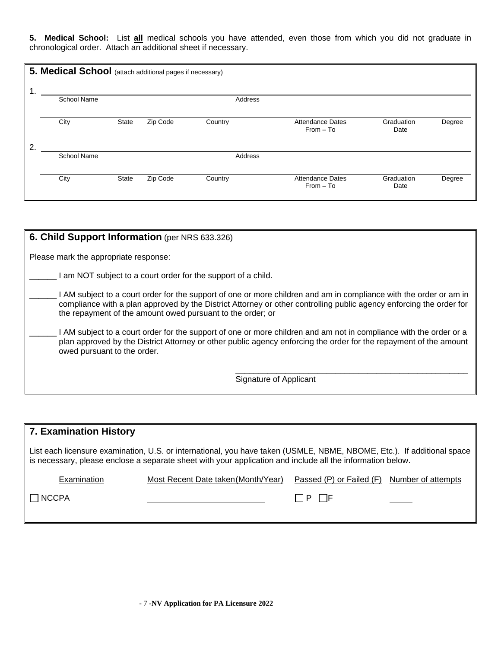**5. Medical School:** List **all** medical schools you have attended, even those from which you did not graduate in chronological order. Attach an additional sheet if necessary.

|                  | 5. Medical School (attach additional pages if necessary) |              |          |         |                                        |                    |        |
|------------------|----------------------------------------------------------|--------------|----------|---------|----------------------------------------|--------------------|--------|
|                  |                                                          |              |          |         |                                        |                    |        |
|                  | <b>School Name</b>                                       |              |          | Address |                                        |                    |        |
|                  | City                                                     | <b>State</b> | Zip Code | Country | <b>Attendance Dates</b><br>$From - To$ | Graduation<br>Date | Degree |
| $\overline{2}$ . |                                                          |              |          |         |                                        |                    |        |
|                  | <b>School Name</b>                                       |              |          | Address |                                        |                    |        |
|                  |                                                          |              |          |         |                                        |                    |        |
|                  | City                                                     | State        | Zip Code | Country | <b>Attendance Dates</b><br>$From - To$ | Graduation<br>Date | Degree |

| <b>6. Child Support Information</b> (per NRS 633.326)                                                                                                                                                                                                                                                   |
|---------------------------------------------------------------------------------------------------------------------------------------------------------------------------------------------------------------------------------------------------------------------------------------------------------|
| Please mark the appropriate response:                                                                                                                                                                                                                                                                   |
| I am NOT subject to a court order for the support of a child.                                                                                                                                                                                                                                           |
| I AM subject to a court order for the support of one or more children and am in compliance with the order or am in<br>compliance with a plan approved by the District Attorney or other controlling public agency enforcing the order for<br>the repayment of the amount owed pursuant to the order; or |
| AM subject to a court order for the support of one or more children and am not in compliance with the order or a<br>plan approved by the District Attorney or other public agency enforcing the order for the repayment of the amount<br>owed pursuant to the order.                                    |
| Signature of Applicant                                                                                                                                                                                                                                                                                  |

| 7. Examination History |                                                                                                                                                                                                                                      |                          |                    |  |  |  |  |
|------------------------|--------------------------------------------------------------------------------------------------------------------------------------------------------------------------------------------------------------------------------------|--------------------------|--------------------|--|--|--|--|
|                        | List each licensure examination, U.S. or international, you have taken (USMLE, NBME, NBOME, Etc.). If additional space<br>is necessary, please enclose a separate sheet with your application and include all the information below. |                          |                    |  |  |  |  |
| Examination            | Most Recent Date taken (Month/Year)                                                                                                                                                                                                  | Passed (P) or Failed (F) | Number of attempts |  |  |  |  |
| $\Box$ NCCPA           |                                                                                                                                                                                                                                      | $\Box$ p    F            |                    |  |  |  |  |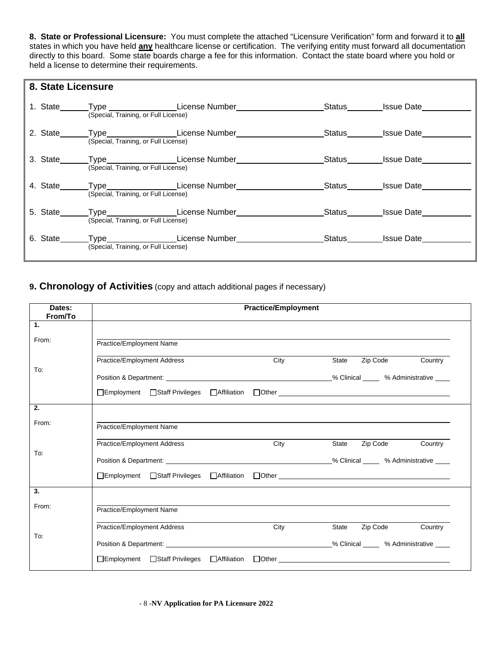**8. State or Professional Licensure:** You must complete the attached "Licensure Verification" form and forward it to **all** states in which you have held **any** healthcare license or certification. The verifying entity must forward all documentation directly to this board. Some state boards charge a fee for this information. Contact the state board where you hold or held a license to determine their requirements.

| 8. State Licensure |                                      |                                                                                  |                   |                   |
|--------------------|--------------------------------------|----------------------------------------------------------------------------------|-------------------|-------------------|
|                    | (Special, Training, or Full License) | 1. State _______Type ___________________License Number__________________________ |                   | Status Issue Date |
|                    | (Special, Training, or Full License) | 2. State_______Type___________________License Number____________________________ |                   | Status Issue Date |
| 3. State____       | (Special, Training, or Full License) | Type________________License Number_____________________Status________Issue Date  |                   |                   |
| 4. State___        | (Special, Training, or Full License) | _Type____________________License Number__                                        | Status Issue Date |                   |
| 5. State           | (Special, Training, or Full License) | Type License Number                                                              |                   | Status Issue Date |
| 6. State____       | (Special, Training, or Full License) |                                                                                  |                   | Status Issue Date |

# **9. Chronology of Activities** (copy and attach additional pages if necessary)

| Dates:<br>From/To |                                                                                                                                                                                                                                | <b>Practice/Employment</b> |                     |         |
|-------------------|--------------------------------------------------------------------------------------------------------------------------------------------------------------------------------------------------------------------------------|----------------------------|---------------------|---------|
| 1.                |                                                                                                                                                                                                                                |                            |                     |         |
| From:             | Practice/Employment Name                                                                                                                                                                                                       |                            |                     |         |
|                   | Practice/Employment Address                                                                                                                                                                                                    | City                       | Zip Code<br>State   | Country |
| To:               | Position & Department: The Contract of the Contract of the Second Warehouse of the Second Warehouse of the Second Warehouse of the Second Warehouse of the Second Warehouse of the Second Warehouse of the Second Warehouse of |                            |                     |         |
|                   | □Employment □Staff Privileges □Affiliation □Other                                                                                                                                                                              |                            |                     |         |
| 2.                |                                                                                                                                                                                                                                |                            |                     |         |
| From:             | Practice/Employment Name                                                                                                                                                                                                       |                            |                     |         |
|                   | Practice/Employment Address                                                                                                                                                                                                    | City                       | Zip Code<br>State   | Country |
| To:               |                                                                                                                                                                                                                                |                            |                     |         |
|                   |                                                                                                                                                                                                                                |                            |                     |         |
| 3.                |                                                                                                                                                                                                                                |                            |                     |         |
| From:             | Practice/Employment Name                                                                                                                                                                                                       |                            |                     |         |
|                   | Practice/Employment Address                                                                                                                                                                                                    | City                       | State<br>Zip Code   | Country |
| To:               |                                                                                                                                                                                                                                |                            |                     |         |
|                   | □Employment □Staff Privileges □Affiliation                                                                                                                                                                                     |                            | $\Box$ Other $\Box$ |         |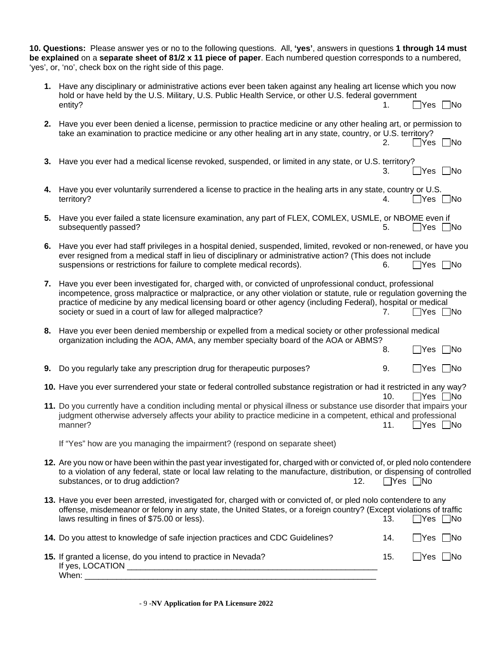|    | 10. Questions: Please answer yes or no to the following questions. All, 'yes', answers in questions 1 through 14 must<br>be explained on a separate sheet of 81/2 x 11 piece of paper. Each numbered question corresponds to a numbered,<br>'yes', or, 'no', check box on the right side of this page.                                                                                                       |                      |                      |    |
|----|--------------------------------------------------------------------------------------------------------------------------------------------------------------------------------------------------------------------------------------------------------------------------------------------------------------------------------------------------------------------------------------------------------------|----------------------|----------------------|----|
|    | 1. Have any disciplinary or administrative actions ever been taken against any healing art license which you now<br>hold or have held by the U.S. Military, U.S. Public Health Service, or other U.S. federal government<br>entity?                                                                                                                                                                          | 1.                   | □Yes □No             |    |
|    | 2. Have you ever been denied a license, permission to practice medicine or any other healing art, or permission to<br>take an examination to practice medicine or any other healing art in any state, country, or U.S. territory?                                                                                                                                                                            | 2.                   | $\Box$ Yes $\Box$ No |    |
|    | 3. Have you ever had a medical license revoked, suspended, or limited in any state, or U.S. territory?                                                                                                                                                                                                                                                                                                       | 3.                   | $\Box$ Yes $\Box$ No |    |
|    | 4. Have you ever voluntarily surrendered a license to practice in the healing arts in any state, country or U.S.<br>territory?                                                                                                                                                                                                                                                                               | 4.                   | $\Box$ Yes $\Box$ No |    |
|    | 5. Have you ever failed a state licensure examination, any part of FLEX, COMLEX, USMLE, or NBOME even if<br>subsequently passed?                                                                                                                                                                                                                                                                             | 5.                   | $\Box$ Yes $\Box$ No |    |
| 6. | Have you ever had staff privileges in a hospital denied, suspended, limited, revoked or non-renewed, or have you<br>ever resigned from a medical staff in lieu of disciplinary or administrative action? (This does not include<br>suspensions or restrictions for failure to complete medical records).                                                                                                     | 6.                   | □Yes □No             |    |
| 7. | Have you ever been investigated for, charged with, or convicted of unprofessional conduct, professional<br>incompetence, gross malpractice or malpractice, or any other violation or statute, rule or regulation governing the<br>practice of medicine by any medical licensing board or other agency (including Federal), hospital or medical<br>society or sued in a court of law for alleged malpractice? | 7.                   | Yes                  | No |
|    | 8. Have you ever been denied membership or expelled from a medical society or other professional medical<br>organization including the AOA, AMA, any member specialty board of the AOA or ABMS?                                                                                                                                                                                                              | 8.                   | $\sqcup$ Yes         | No |
|    | 9. Do you regularly take any prescription drug for therapeutic purposes?                                                                                                                                                                                                                                                                                                                                     | 9.                   | ∐Yes ∑No             |    |
|    | 10. Have you ever surrendered your state or federal controlled substance registration or had it restricted in any way?                                                                                                                                                                                                                                                                                       | 10.                  | Yes   No             |    |
|    | 11. Do you currently have a condition including mental or physical illness or substance use disorder that impairs your<br>judgment otherwise adversely affects your ability to practice medicine in a competent, ethical and professional<br>manner?                                                                                                                                                         | 11.                  | Yes   No             |    |
|    | If "Yes" how are you managing the impairment? (respond on separate sheet)                                                                                                                                                                                                                                                                                                                                    |                      |                      |    |
|    | 12. Are you now or have been within the past year investigated for, charged with or convicted of, or pled nolo contendere<br>to a violation of any federal, state or local law relating to the manufacture, distribution, or dispensing of controlled<br>substances, or to drug addiction?<br>12.                                                                                                            | $\Box$ Yes $\Box$ No |                      |    |
|    | 13. Have you ever been arrested, investigated for, charged with or convicted of, or pled nolo contendere to any<br>offense, misdemeanor or felony in any state, the United States, or a foreign country? (Except violations of traffic<br>laws resulting in fines of \$75.00 or less).                                                                                                                       | 13.                  | $\Box$ Yes $\Box$ No |    |
|    | 14. Do you attest to knowledge of safe injection practices and CDC Guidelines?                                                                                                                                                                                                                                                                                                                               | 14.                  | $\Box$ Yes $\Box$ No |    |
|    | 15. If granted a license, do you intend to practice in Nevada?                                                                                                                                                                                                                                                                                                                                               | 15.                  | $\Box$ Yes $\Box$ No |    |

- 9 -**NV Application for PA Licensure 2022**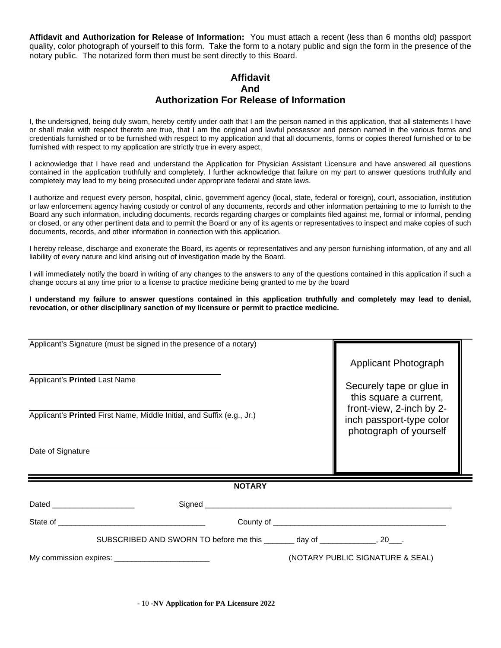**Affidavit and Authorization for Release of Information:** You must attach a recent (less than 6 months old) passport quality, color photograph of yourself to this form. Take the form to a notary public and sign the form in the presence of the notary public. The notarized form then must be sent directly to this Board.

## **Affidavit And Authorization For Release of Information**

I, the undersigned, being duly sworn, hereby certify under oath that I am the person named in this application, that all statements I have or shall make with respect thereto are true, that I am the original and lawful possessor and person named in the various forms and credentials furnished or to be furnished with respect to my application and that all documents, forms or copies thereof furnished or to be furnished with respect to my application are strictly true in every aspect.

I acknowledge that I have read and understand the Application for Physician Assistant Licensure and have answered all questions contained in the application truthfully and completely. I further acknowledge that failure on my part to answer questions truthfully and completely may lead to my being prosecuted under appropriate federal and state laws.

I authorize and request every person, hospital, clinic, government agency (local, state, federal or foreign), court, association, institution or law enforcement agency having custody or control of any documents, records and other information pertaining to me to furnish to the Board any such information, including documents, records regarding charges or complaints filed against me, formal or informal, pending or closed, or any other pertinent data and to permit the Board or any of its agents or representatives to inspect and make copies of such documents, records, and other information in connection with this application.

I hereby release, discharge and exonerate the Board, its agents or representatives and any person furnishing information, of any and all liability of every nature and kind arising out of investigation made by the Board.

I will immediately notify the board in writing of any changes to the answers to any of the questions contained in this application if such a change occurs at any time prior to a license to practice medicine being granted to me by the board

**I understand my failure to answer questions contained in this application truthfully and completely may lead to denial, revocation, or other disciplinary sanction of my licensure or permit to practice medicine.**

| Applicant's Signature (must be signed in the presence of a notary)                                      |               |  |                                                                                                                                    |  |  |
|---------------------------------------------------------------------------------------------------------|---------------|--|------------------------------------------------------------------------------------------------------------------------------------|--|--|
| Applicant's Printed Last Name<br>Applicant's Printed First Name, Middle Initial, and Suffix (e.g., Jr.) |               |  | Applicant Photograph<br>Securely tape or glue in<br>this square a current,<br>front-view, 2-inch by 2-<br>inch passport-type color |  |  |
| Date of Signature                                                                                       |               |  | photograph of yourself                                                                                                             |  |  |
|                                                                                                         | <b>NOTARY</b> |  |                                                                                                                                    |  |  |
| Dated _______________________                                                                           |               |  |                                                                                                                                    |  |  |
|                                                                                                         |               |  |                                                                                                                                    |  |  |
| SUBSCRIBED AND SWORN TO before me this _______ day of ____________, 20___.                              |               |  |                                                                                                                                    |  |  |
|                                                                                                         |               |  | (NOTARY PUBLIC SIGNATURE & SEAL)                                                                                                   |  |  |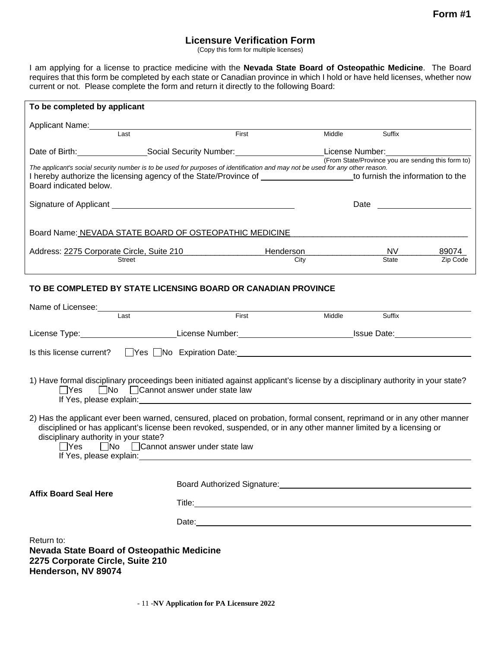# **Licensure Verification Form**

(Copy this form for multiple licenses)

I am applying for a license to practice medicine with the **Nevada State Board of Osteopathic Medicine**. The Board requires that this form be completed by each state or Canadian province in which I hold or have held licenses, whether now current or not. Please complete the form and return it directly to the following Board:

| To be completed by applicant  |                                                                                                                               |                         |                 |              |                                                    |
|-------------------------------|-------------------------------------------------------------------------------------------------------------------------------|-------------------------|-----------------|--------------|----------------------------------------------------|
| Applicant Name:               |                                                                                                                               |                         |                 |              |                                                    |
|                               | Last                                                                                                                          | First                   | Middle          | Suffix       |                                                    |
| Date of Birth: Date of Birth: |                                                                                                                               | Social Security Number: | License Number: |              | (From State/Province you are sending this form to) |
| Board indicated below.        | The applicant's social security number is to be used for purposes of identification and may not be used for any other reason. |                         |                 |              |                                                    |
|                               | Signature of Applicant Management Control of Applicant                                                                        |                         | Date            |              |                                                    |
|                               | Board Name: NEVADA STATE BOARD OF OSTEOPATHIC MEDICINE                                                                        |                         |                 |              |                                                    |
|                               | Address: 2275 Corporate Circle, Suite 210                                                                                     | Henderson               |                 | NV.          | 89074                                              |
|                               | <b>Street</b>                                                                                                                 | City                    |                 | <b>State</b> | Zip Code                                           |

## **TO BE COMPLETED BY STATE LICENSING BOARD OR CANADIAN PROVINCE**

| Name of Licensee: Name of Licensee:                                                                                                                                                                                                                                                                                                              |                                                                                                                                                                                                                                      |                      |        |  |
|--------------------------------------------------------------------------------------------------------------------------------------------------------------------------------------------------------------------------------------------------------------------------------------------------------------------------------------------------|--------------------------------------------------------------------------------------------------------------------------------------------------------------------------------------------------------------------------------------|----------------------|--------|--|
| I ast                                                                                                                                                                                                                                                                                                                                            | First                                                                                                                                                                                                                                | <b>Middle Middle</b> | Suffix |  |
| License Type:_____________________________License Number:_________________________________Issue Date:_________                                                                                                                                                                                                                                   |                                                                                                                                                                                                                                      |                      |        |  |
| Is this license current? TYes No Expiration Date: The Content Content of the Content of the September 2016 of t                                                                                                                                                                                                                                  |                                                                                                                                                                                                                                      |                      |        |  |
| 1) Have formal disciplinary proceedings been initiated against applicant's license by a disciplinary authority in your state?<br>□Yes □No □ Cannot answer under state law                                                                                                                                                                        | If Yes, please explain: <u>contract and contract and contract and contract and contract and contract and contract and contract and contract and contract and contract and contract and contract and contract and contract and co</u> |                      |        |  |
| 2) Has the applicant ever been warned, censured, placed on probation, formal consent, reprimand or in any other manner<br>disciplined or has applicant's license been revoked, suspended, or in any other manner limited by a licensing or<br>disciplinary authority in your state?<br>$\Box$ Yes $\Box$ No $\Box$ Cannot answer under state law |                                                                                                                                                                                                                                      |                      |        |  |
| <b>Affix Board Seal Here</b>                                                                                                                                                                                                                                                                                                                     | Board Authorized Signature: Management Controller and Controller and Controller and Controller and Controller                                                                                                                        |                      |        |  |
|                                                                                                                                                                                                                                                                                                                                                  |                                                                                                                                                                                                                                      |                      |        |  |
|                                                                                                                                                                                                                                                                                                                                                  | Date: https://www.archive.com/communications/communications/communications/communications/communications/communications/communications/communications/communications/communications/communications/communications/communicatio       |                      |        |  |
| Return to:<br><b>Nevada State Board of Osteopathic Medicine</b><br>2275 Corporate Circle, Suite 210<br>Henderson, NV 89074                                                                                                                                                                                                                       |                                                                                                                                                                                                                                      |                      |        |  |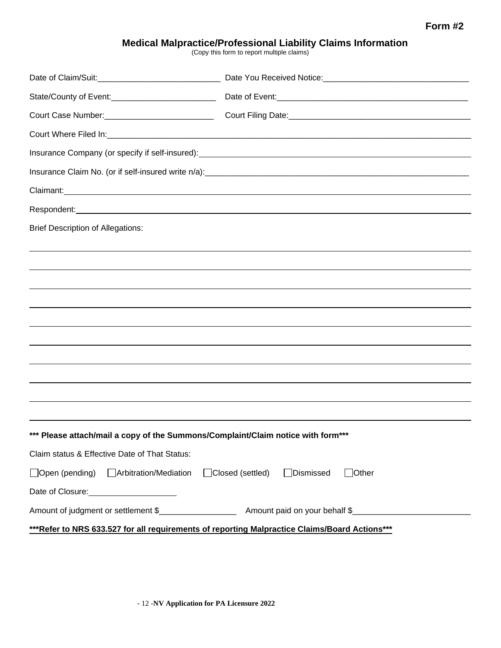## **Form #2**

# **Medical Malpractice/Professional Liability Claims Information**

(Copy this form to report multiple claims)

|                                                                                                                                                                                                                                    | Court Where Filed In: Court Where Filed In:                                                                                                                                                                                          |
|------------------------------------------------------------------------------------------------------------------------------------------------------------------------------------------------------------------------------------|--------------------------------------------------------------------------------------------------------------------------------------------------------------------------------------------------------------------------------------|
|                                                                                                                                                                                                                                    |                                                                                                                                                                                                                                      |
|                                                                                                                                                                                                                                    |                                                                                                                                                                                                                                      |
| Claimant: <u>Claimant:</u> Claimant: Claimant: Claimant: Claimant: Claimant: Claimant: Claimant: Claimant: Claimant: Claimant: Claimant: Claimant: Claimant: Claimant: Claimant: Claimant: Claimant: Claimant: Claimant: Claimant: |                                                                                                                                                                                                                                      |
|                                                                                                                                                                                                                                    | Respondent: <u>example and the contract of the contract of the contract of the contract of the contract of the contract of the contract of the contract of the contract of the contract of the contract of the contract of the c</u> |
| <b>Brief Description of Allegations:</b>                                                                                                                                                                                           |                                                                                                                                                                                                                                      |
|                                                                                                                                                                                                                                    |                                                                                                                                                                                                                                      |
|                                                                                                                                                                                                                                    |                                                                                                                                                                                                                                      |
|                                                                                                                                                                                                                                    |                                                                                                                                                                                                                                      |
|                                                                                                                                                                                                                                    |                                                                                                                                                                                                                                      |
|                                                                                                                                                                                                                                    | ,我们也不会有什么?""我们的人,我们也不会有什么?""我们的人,我们也不会有什么?""我们的人,我们也不会有什么?""我们的人,我们也不会有什么?""我们的人                                                                                                                                                     |
|                                                                                                                                                                                                                                    |                                                                                                                                                                                                                                      |
|                                                                                                                                                                                                                                    |                                                                                                                                                                                                                                      |
|                                                                                                                                                                                                                                    | ,我们也不会有什么?""我们的人,我们也不会有什么?""我们的人,我们也不会有什么?""我们的人,我们也不会有什么?""我们的人,我们也不会有什么?""我们的人                                                                                                                                                     |
|                                                                                                                                                                                                                                    |                                                                                                                                                                                                                                      |
|                                                                                                                                                                                                                                    |                                                                                                                                                                                                                                      |
| *** Please attach/mail a copy of the Summons/Complaint/Claim notice with form***                                                                                                                                                   |                                                                                                                                                                                                                                      |
| Claim status & Effective Date of That Status:                                                                                                                                                                                      |                                                                                                                                                                                                                                      |
| □ Open (pending) □ Arbitration/Mediation □ Closed (settled)                                                                                                                                                                        | □Dismissed<br>$\exists$ Other                                                                                                                                                                                                        |
|                                                                                                                                                                                                                                    |                                                                                                                                                                                                                                      |
|                                                                                                                                                                                                                                    |                                                                                                                                                                                                                                      |
| ***Refer to NRS 633.527 for all requirements of reporting Malpractice Claims/Board Actions***                                                                                                                                      |                                                                                                                                                                                                                                      |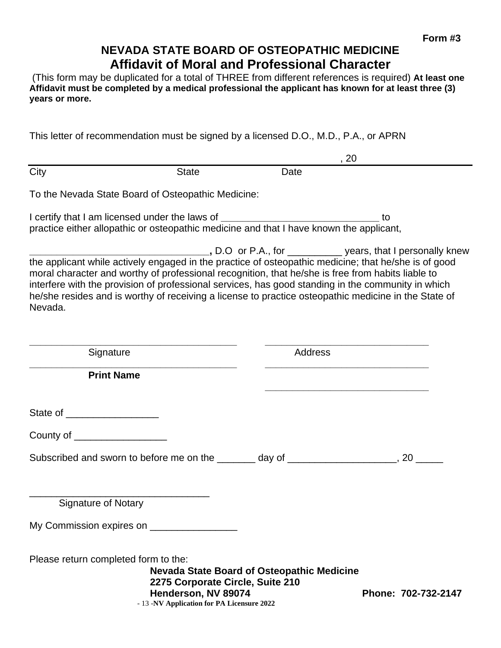# **NEVADA STATE BOARD OF OSTEOPATHIC MEDICINE Affidavit of Moral and Professional Character**

(This form may be duplicated for a total of THREE from different references is required) **At least one**  Affidavit must be completed by a medical professional the applicant has known for at least three (3) **years or more.**

This letter of recommendation must be signed by a licensed D.O., M.D., P.A., or APRN

|                                      |                                                                                                                                                                                                         |                                                   | , 20                                                                                                                                                                                                                                                                                                           |
|--------------------------------------|---------------------------------------------------------------------------------------------------------------------------------------------------------------------------------------------------------|---------------------------------------------------|----------------------------------------------------------------------------------------------------------------------------------------------------------------------------------------------------------------------------------------------------------------------------------------------------------------|
| City                                 | <b>State</b>                                                                                                                                                                                            | Date                                              |                                                                                                                                                                                                                                                                                                                |
|                                      | To the Nevada State Board of Osteopathic Medicine:                                                                                                                                                      |                                                   |                                                                                                                                                                                                                                                                                                                |
|                                      | I certify that I am licensed under the laws of _________________________________<br>practice either allopathic or osteopathic medicine and that I have known the applicant,                             |                                                   | to                                                                                                                                                                                                                                                                                                             |
| Nevada.                              | moral character and worthy of professional recognition, that he/she is free from habits liable to<br>interfere with the provision of professional services, has good standing in the community in which |                                                   | _______________________________, D.O or P.A., for ______________ years, that I personally knew<br>the applicant while actively engaged in the practice of osteopathic medicine; that he/she is of good<br>he/she resides and is worthy of receiving a license to practice osteopathic medicine in the State of |
| Signature                            |                                                                                                                                                                                                         | <b>Address</b>                                    |                                                                                                                                                                                                                                                                                                                |
| <b>Print Name</b>                    |                                                                                                                                                                                                         |                                                   | the control of the control of the control of the control of the control of the control of                                                                                                                                                                                                                      |
| State of _____________________       |                                                                                                                                                                                                         |                                                   |                                                                                                                                                                                                                                                                                                                |
| County of ____________________       |                                                                                                                                                                                                         |                                                   |                                                                                                                                                                                                                                                                                                                |
|                                      | Subscribed and sworn to before me on the ________ day of _____________________, 20 _____                                                                                                                |                                                   |                                                                                                                                                                                                                                                                                                                |
| <b>Signature of Notary</b>           |                                                                                                                                                                                                         |                                                   |                                                                                                                                                                                                                                                                                                                |
| My Commission expires on ______      |                                                                                                                                                                                                         |                                                   |                                                                                                                                                                                                                                                                                                                |
| Please return completed form to the: | 2275 Corporate Circle, Suite 210<br>Henderson, NV 89074<br>- 13 -NV Application for PA Licensure 2022                                                                                                   | <b>Nevada State Board of Osteopathic Medicine</b> | Phone: 702-732-2147                                                                                                                                                                                                                                                                                            |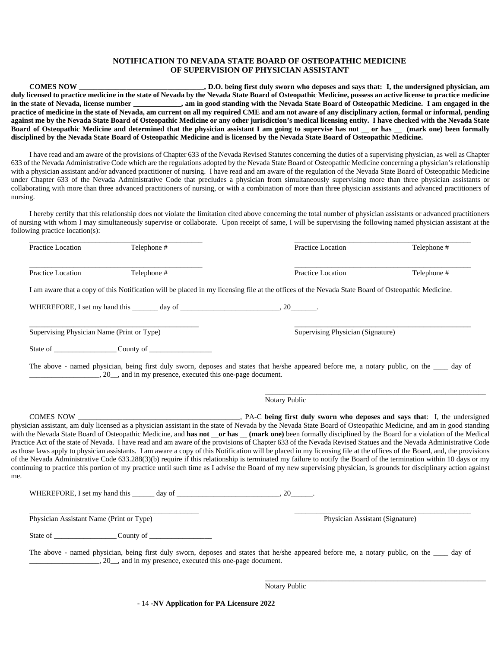#### **NOTIFICATION TO NEVADA STATE BOARD OF OSTEOPATHIC MEDICINE OF SUPERVISION OF PHYSICIAN ASSISTANT**

**COMES NOW \_\_\_\_\_\_\_\_\_\_\_\_\_\_\_\_\_\_\_\_\_\_\_\_\_\_\_\_\_\_\_\_\_\_, D.O. being first duly sworn who deposes and says that: I, the undersigned physician, am duly licensed to practice medicine in the state of Nevada by the Nevada State Board of Osteopathic Medicine, possess an active license to practice medicine in the state of Nevada, license number \_\_\_\_\_\_\_\_\_\_\_\_\_, am in good standing with the Nevada State Board of Osteopathic Medicine. I am engaged in the practice of medicine in the state of Nevada, am current on all my required CME and am not aware of any disciplinary action, formal or informal, pending against me by the Nevada State Board of Osteopathic Medicine or any other jurisdiction's medical licensing entity. I have checked with the Nevada State Board of Osteopathic Medicine and determined that the physician assistant I am going to supervise has not \_\_ or has \_\_ (mark one) been formally disciplined by the Nevada State Board of Osteopathic Medicine and is licensed by the Nevada State Board of Osteopathic Medicine.**

I have read and am aware of the provisions of Chapter 633 of the Nevada Revised Statutes concerning the duties of a supervising physician, as well as Chapter 633 of the Nevada Administrative Code which are the regulations adopted by the Nevada State Board of Osteopathic Medicine concerning a physician's relationship with a physician assistant and/or advanced practitioner of nursing. I have read and am aware of the regulation of the Nevada State Board of Osteopathic Medicine under Chapter 633 of the Nevada Administrative Code that precludes a physician from simultaneously supervising more than three physician assistants or collaborating with more than three advanced practitioners of nursing, or with a combination of more than three physician assistants and advanced practitioners of nursing.

I hereby certify that this relationship does not violate the limitation cited above concerning the total number of physician assistants or advanced practitioners of nursing with whom I may simultaneously supervise or collaborate. Upon receipt of same, I will be supervising the following named physician assistant at the following practice location(s):

| Practice Location                          | Telephone #                                              | Practice Location                                                                                                                                                                                                                                                                                                                                                                                                                                                                                                                                                                                                                                                                                                                                                                                                                                                                                                                                                                                                            | Telephone # |
|--------------------------------------------|----------------------------------------------------------|------------------------------------------------------------------------------------------------------------------------------------------------------------------------------------------------------------------------------------------------------------------------------------------------------------------------------------------------------------------------------------------------------------------------------------------------------------------------------------------------------------------------------------------------------------------------------------------------------------------------------------------------------------------------------------------------------------------------------------------------------------------------------------------------------------------------------------------------------------------------------------------------------------------------------------------------------------------------------------------------------------------------------|-------------|
| Practice Location                          | Telephone #                                              | Practice Location                                                                                                                                                                                                                                                                                                                                                                                                                                                                                                                                                                                                                                                                                                                                                                                                                                                                                                                                                                                                            | Telephone # |
|                                            |                                                          | I am aware that a copy of this Notification will be placed in my licensing file at the offices of the Nevada State Board of Osteopathic Medicine.                                                                                                                                                                                                                                                                                                                                                                                                                                                                                                                                                                                                                                                                                                                                                                                                                                                                            |             |
|                                            |                                                          |                                                                                                                                                                                                                                                                                                                                                                                                                                                                                                                                                                                                                                                                                                                                                                                                                                                                                                                                                                                                                              |             |
| Supervising Physician Name (Print or Type) |                                                          | Supervising Physician (Signature)                                                                                                                                                                                                                                                                                                                                                                                                                                                                                                                                                                                                                                                                                                                                                                                                                                                                                                                                                                                            |             |
|                                            |                                                          |                                                                                                                                                                                                                                                                                                                                                                                                                                                                                                                                                                                                                                                                                                                                                                                                                                                                                                                                                                                                                              |             |
|                                            | 20, and in my presence, executed this one-page document. | The above - named physician, being first duly sworn, deposes and states that he/she appeared before me, a notary public, on the ____ day of                                                                                                                                                                                                                                                                                                                                                                                                                                                                                                                                                                                                                                                                                                                                                                                                                                                                                  |             |
|                                            |                                                          | Notary Public                                                                                                                                                                                                                                                                                                                                                                                                                                                                                                                                                                                                                                                                                                                                                                                                                                                                                                                                                                                                                |             |
| COMES NOW<br>me.                           |                                                          | physician assistant, am duly licensed as a physician assistant in the state of Nevada by the Nevada State Board of Osteopathic Medicine, and am in good standing<br>with the Nevada State Board of Osteopathic Medicine, and has not __or has __(mark one) been formally disciplined by the Board for a violation of the Medical<br>Practice Act of the state of Nevada. I have read and am aware of the provisions of Chapter 633 of the Nevada Revised Statues and the Nevada Administrative Code<br>as those laws apply to physician assistants. I am aware a copy of this Notification will be placed in my licensing file at the offices of the Board, and, the provisions<br>of the Nevada Administrative Code 633.288(3)(b) require if this relationship is terminated my failure to notify the Board of the termination within 10 days or my<br>continuing to practice this portion of my practice until such time as I advise the Board of my new supervising physician, is grounds for disciplinary action against |             |
|                                            |                                                          |                                                                                                                                                                                                                                                                                                                                                                                                                                                                                                                                                                                                                                                                                                                                                                                                                                                                                                                                                                                                                              |             |
|                                            |                                                          |                                                                                                                                                                                                                                                                                                                                                                                                                                                                                                                                                                                                                                                                                                                                                                                                                                                                                                                                                                                                                              |             |
| Physician Assistant Name (Print or Type)   |                                                          | Physician Assistant (Signature)                                                                                                                                                                                                                                                                                                                                                                                                                                                                                                                                                                                                                                                                                                                                                                                                                                                                                                                                                                                              |             |
|                                            |                                                          |                                                                                                                                                                                                                                                                                                                                                                                                                                                                                                                                                                                                                                                                                                                                                                                                                                                                                                                                                                                                                              |             |

Notary Public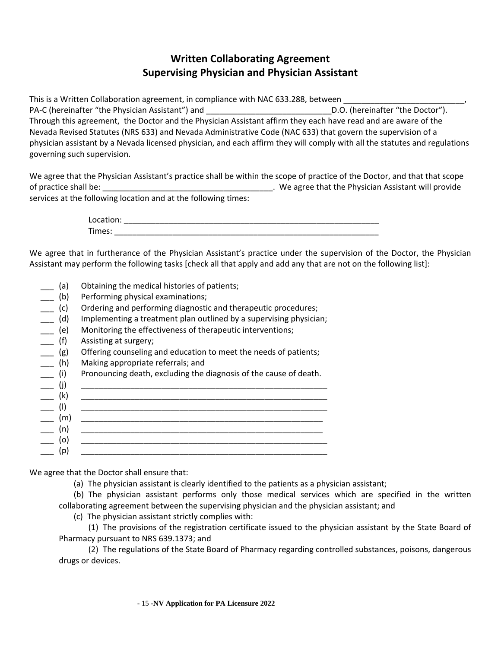# **Written Collaborating Agreement Supervising Physician and Physician Assistant**

This is a Written Collaboration agreement, in compliance with NAC 633.288, between PA-C (hereinafter "the Physician Assistant") and  $\underline{\hspace{1cm}}$  D.O. (hereinafter "the Doctor"). Through this agreement, the Doctor and the Physician Assistant affirm they each have read and are aware of the Nevada Revised Statutes (NRS 633) and Nevada Administrative Code (NAC 633) that govern the supervision of a physician assistant by a Nevada licensed physician, and each affirm they will comply with all the statutes and regulations governing such supervision.

We agree that the Physician Assistant's practice shall be within the scope of practice of the Doctor, and that that scope of practice shall be: ethal be: ethal be: the Physician Assistant will provide services at the following location and at the following times:

> Location: \_\_\_\_\_\_\_\_\_\_\_\_\_\_\_\_\_\_\_\_\_\_\_\_\_\_\_\_\_\_\_\_\_\_\_\_\_\_\_\_\_\_\_\_\_\_\_\_\_\_\_\_\_\_\_\_\_ Times:

We agree that in furtherance of the Physician Assistant's practice under the supervision of the Doctor, the Physician Assistant may perform the following tasks [check all that apply and add any that are not on the following list]:

- \_\_\_ (a) Obtaining the medical histories of patients;
- \_\_\_ (b) Performing physical examinations;
- \_\_\_ (c) Ordering and performing diagnostic and therapeutic procedures;
- \_\_\_ (d) Implementing a treatment plan outlined by a supervising physician;
- \_\_\_ (e) Monitoring the effectiveness of therapeutic interventions;
- \_\_\_ (f) Assisting at surgery;
- \_\_\_ (g) Offering counseling and education to meet the needs of patients;
- \_\_\_ (h) Making appropriate referrals; and
- \_\_\_ (i) Pronouncing death, excluding the diagnosis of the cause of death.

|   | <u> 1980 - Jan Barbara (j. 1980)</u> |
|---|--------------------------------------|
| m |                                      |
|   |                                      |
|   |                                      |
|   |                                      |
|   |                                      |

We agree that the Doctor shall ensure that:

- (a) The physician assistant is clearly identified to the patients as a physician assistant;
- (b) The physician assistant performs only those medical services which are specified in the written collaborating agreement between the supervising physician and the physician assistant; and
	- (c) The physician assistant strictly complies with:
- (1) The provisions of the registration certificate issued to the physician assistant by the State Board of Pharmacy pursuant to NRS 639.1373; and

 (2) The regulations of the State Board of Pharmacy regarding controlled substances, poisons, dangerous drugs or devices.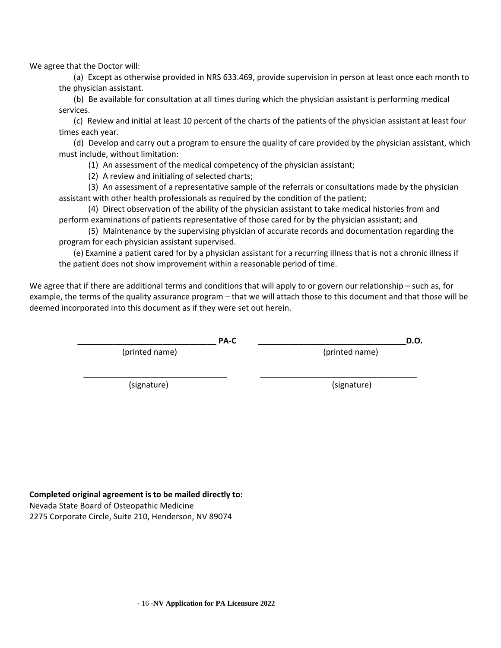We agree that the Doctor will:

 (a) Except as otherwise provided in NRS 633.469, provide supervision in person at least once each month to the physician assistant.

 (b) Be available for consultation at all times during which the physician assistant is performing medical services.

 (c) Review and initial at least 10 percent of the charts of the patients of the physician assistant at least four times each year.

 (d) Develop and carry out a program to ensure the quality of care provided by the physician assistant, which must include, without limitation:

(1) An assessment of the medical competency of the physician assistant;

(2) A review and initialing of selected charts;

 (3) An assessment of a representative sample of the referrals or consultations made by the physician assistant with other health professionals as required by the condition of the patient;

 (4) Direct observation of the ability of the physician assistant to take medical histories from and perform examinations of patients representative of those cared for by the physician assistant; and

 (5) Maintenance by the supervising physician of accurate records and documentation regarding the program for each physician assistant supervised.

 (e) Examine a patient cared for by a physician assistant for a recurring illness that is not a chronic illness if the patient does not show improvement within a reasonable period of time.

We agree that if there are additional terms and conditions that will apply to or govern our relationship – such as, for example, the terms of the quality assurance program – that we will attach those to this document and that those will be deemed incorporated into this document as if they were set out herein.

\_\_\_\_\_\_\_\_\_\_\_\_\_\_\_\_\_\_\_\_\_\_\_\_\_\_\_\_\_\_\_\_ \_\_\_\_\_\_\_\_\_\_\_\_\_\_\_\_\_\_\_\_\_\_\_\_\_\_\_\_\_\_\_\_\_\_\_

**\_\_\_\_\_\_\_\_\_\_\_\_\_\_\_\_\_\_\_\_\_\_\_\_\_\_\_\_\_\_\_ PA-C \_\_\_\_\_\_\_\_\_\_\_\_\_\_\_\_\_\_\_\_\_\_\_\_\_\_\_\_\_\_\_\_\_D.O.**

(printed name)(printed name)

(signature) (signature)

### **Completed original agreement is to be mailed directly to:**

Nevada State Board of Osteopathic Medicine

2275 Corporate Circle, Suite 210, Henderson, NV 89074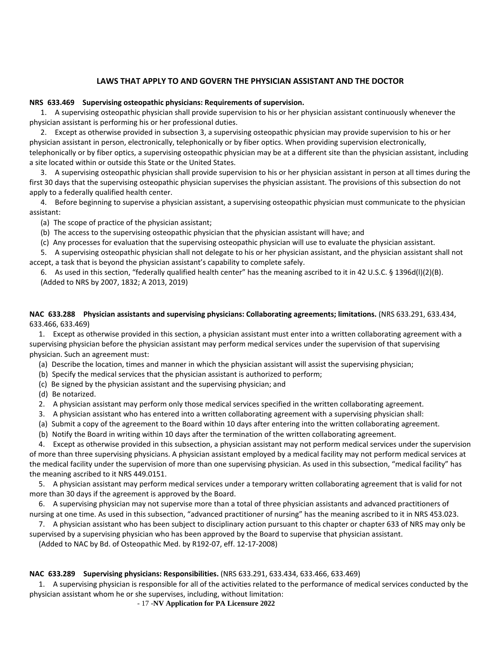### **LAWS THAT APPLY TO AND GOVERN THE PHYSICIAN ASSISTANT AND THE DOCTOR**

#### **NRS 633.469 Supervising osteopathic physicians: Requirements of supervision.**

 1. A supervising osteopathic physician shall provide supervision to his or her physician assistant continuously whenever the physician assistant is performing his or her professional duties.

 2. Except as otherwise provided in subsection 3, a supervising osteopathic physician may provide supervision to his or her physician assistant in person, electronically, telephonically or by fiber optics. When providing supervision electronically, telephonically or by fiber optics, a supervising osteopathic physician may be at a different site than the physician assistant, including a site located within or outside this State or the United States.

 3. A supervising osteopathic physician shall provide supervision to his or her physician assistant in person at all times during the first 30 days that the supervising osteopathic physician supervises the physician assistant. The provisions of this subsection do not apply to a federally qualified health center.

 4. Before beginning to supervise a physician assistant, a supervising osteopathic physician must communicate to the physician assistant:

(a) The scope of practice of the physician assistant;

(b) The access to the supervising osteopathic physician that the physician assistant will have; and

(c) Any processes for evaluation that the supervising osteopathic physician will use to evaluate the physician assistant.

 5. A supervising osteopathic physician shall not delegate to his or her physician assistant, and the physician assistant shall not accept, a task that is beyond the physician assistant's capability to complete safely.

 6. As used in this section, "federally qualified health center" has the meaning ascribed to it in 42 U.S.C. § 1396d(l)(2)(B). (Added to NRS by 2007, 1832; A 2013, 2019)

#### **NAC 633.288 Physician assistants and supervising physicians: Collaborating agreements; limitations.** (NRS 633.291, 633.434, 633.466, 633.469)

 1. Except as otherwise provided in this section, a physician assistant must enter into a written collaborating agreement with a supervising physician before the physician assistant may perform medical services under the supervision of that supervising physician. Such an agreement must:

- (a) Describe the location, times and manner in which the physician assistant will assist the supervising physician;
- (b) Specify the medical services that the physician assistant is authorized to perform;
- (c) Be signed by the physician assistant and the supervising physician; and
- (d) Be notarized.
- 2. A physician assistant may perform only those medical services specified in the written collaborating agreement.
- 3. A physician assistant who has entered into a written collaborating agreement with a supervising physician shall:
- (a) Submit a copy of the agreement to the Board within 10 days after entering into the written collaborating agreement.
- (b) Notify the Board in writing within 10 days after the termination of the written collaborating agreement.

 4. Except as otherwise provided in this subsection, a physician assistant may not perform medical services under the supervision of more than three supervising physicians. A physician assistant employed by a medical facility may not perform medical services at the medical facility under the supervision of more than one supervising physician. As used in this subsection, "medical facility" has the meaning ascribed to it NRS 449.0151.

 5. A physician assistant may perform medical services under a temporary written collaborating agreement that is valid for not more than 30 days if the agreement is approved by the Board.

 6. A supervising physician may not supervise more than a total of three physician assistants and advanced practitioners of nursing at one time. As used in this subsection, "advanced practitioner of nursing" has the meaning ascribed to it in NRS 453.023.

 7. A physician assistant who has been subject to disciplinary action pursuant to this chapter or chapter 633 of NRS may only be supervised by a supervising physician who has been approved by the Board to supervise that physician assistant.

(Added to NAC by Bd. of Osteopathic Med. by R192-07, eff. 12-17-2008)

### **NAC 633.289 Supervising physicians: Responsibilities.** (NRS 633.291, 633.434, 633.466, 633.469)

 1. A supervising physician is responsible for all of the activities related to the performance of medical services conducted by the physician assistant whom he or she supervises, including, without limitation:

- 17 -**NV Application for PA Licensure 2022**